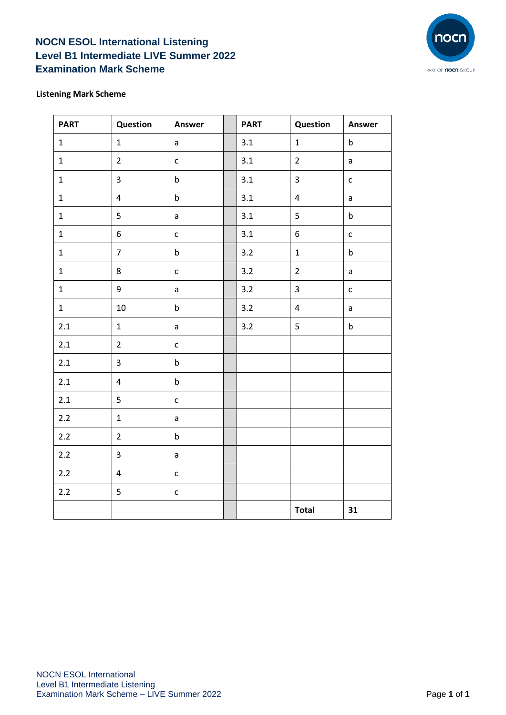## **NOCN ESOL International Listening Level B1 Intermediate LIVE Summer 2022 Examination Mark Scheme**



## **Listening Mark Scheme**

| <b>PART</b>  | Question                | Answer       | <b>PART</b> | Question                | Answer       |
|--------------|-------------------------|--------------|-------------|-------------------------|--------------|
| $\mathbf{1}$ | $\mathbf{1}$            | $\mathsf{a}$ | 3.1         | $\mathbf{1}$            | $\sf b$      |
| $\mathbf 1$  | $\overline{2}$          | $\mathsf{C}$ | 3.1         | $\overline{2}$          | $\mathsf{a}$ |
| $\mathbf{1}$ | $\overline{3}$          | $\sf b$      | 3.1         | $\overline{3}$          | $\mathsf{C}$ |
| $\mathbf{1}$ | $\overline{\mathbf{4}}$ | $\sf b$      | 3.1         | $\overline{\mathbf{4}}$ | $\mathsf{a}$ |
| $\mathbf 1$  | 5                       | a            | 3.1         | 5                       | $\sf b$      |
| $\mathbf{1}$ | 6                       | $\mathsf{C}$ | 3.1         | $\boldsymbol{6}$        | $\mathsf{c}$ |
| $\mathbf{1}$ | $\overline{7}$          | $\sf b$      | 3.2         | $\mathbf 1$             | $\sf b$      |
| $\mathbf{1}$ | 8                       | $\mathsf{C}$ | 3.2         | $\overline{2}$          | $\mathsf{a}$ |
| $\mathbf{1}$ | 9                       | $\mathsf{a}$ | 3.2         | $\overline{3}$          | $\mathsf{C}$ |
| $\mathbf{1}$ | 10                      | $\sf b$      | 3.2         | $\overline{\mathbf{4}}$ | $\mathsf{a}$ |
| 2.1          | $\mathbf{1}$            | a            | 3.2         | 5                       | $\sf b$      |
| $2.1\,$      | $\overline{2}$          | $\mathsf{C}$ |             |                         |              |
| 2.1          | 3                       | $\mathsf b$  |             |                         |              |
| 2.1          | $\overline{4}$          | $\mathsf b$  |             |                         |              |
| 2.1          | 5                       | $\mathsf{C}$ |             |                         |              |
| 2.2          | $\mathbf 1$             | $\mathsf{a}$ |             |                         |              |
| $2.2$        | $\overline{2}$          | $\mathsf b$  |             |                         |              |
| $2.2$        | 3                       | $\mathsf{a}$ |             |                         |              |
| 2.2          | $\overline{\mathbf{4}}$ | $\mathsf{C}$ |             |                         |              |
| 2.2          | 5                       | $\mathsf{C}$ |             |                         |              |
|              |                         |              |             | <b>Total</b>            | 31           |